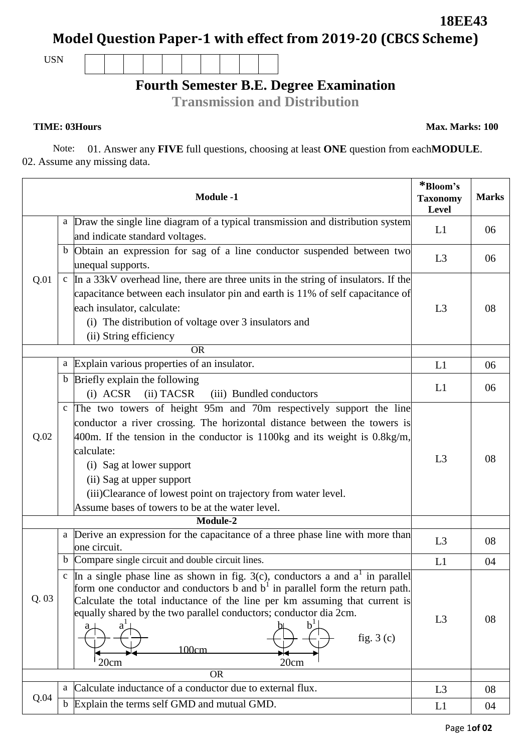**Model Question Paper-1 with effect from 2019-20 (CBCS Scheme)**

USN

## **Fourth Semester B.E. Degree Examination**

**Transmission and Distribution**

**TIME: 03Hours Max. Marks: 100** 

Note: 01. Answer any **FIVE** full questions, choosing at least **ONE** question from each**MODULE**. 02. Assume any missing data.

| <b>Module -1</b> |              |                                                                                                                                                                                                                                                                                                                                                                                                                               | *Bloom's<br><b>Taxonomy</b><br>Level | <b>Marks</b> |
|------------------|--------------|-------------------------------------------------------------------------------------------------------------------------------------------------------------------------------------------------------------------------------------------------------------------------------------------------------------------------------------------------------------------------------------------------------------------------------|--------------------------------------|--------------|
| Q.01             |              | a Draw the single line diagram of a typical transmission and distribution system<br>and indicate standard voltages.                                                                                                                                                                                                                                                                                                           | L1                                   | 06           |
|                  |              | b Obtain an expression for sag of a line conductor suspended between two<br>unequal supports.                                                                                                                                                                                                                                                                                                                                 | L3                                   | 06           |
|                  |              | $\circ$ In a 33kV overhead line, there are three units in the string of insulators. If the<br>capacitance between each insulator pin and earth is 11% of self capacitance of<br>each insulator, calculate:<br>(i) The distribution of voltage over 3 insulators and<br>(ii) String efficiency                                                                                                                                 | L <sub>3</sub>                       | 08           |
|                  |              | <b>OR</b><br>a Explain various properties of an insulator.                                                                                                                                                                                                                                                                                                                                                                    | L1                                   | 06           |
|                  |              | b Briefly explain the following                                                                                                                                                                                                                                                                                                                                                                                               |                                      |              |
|                  |              | $(i)$ ACSR<br>(ii) TACSR<br>(iii) Bundled conductors                                                                                                                                                                                                                                                                                                                                                                          | L1                                   | 06           |
| Q.02             | $\mathbf{C}$ | The two towers of height 95m and 70m respectively support the line<br>conductor a river crossing. The horizontal distance between the towers is<br>$400$ m. If the tension in the conductor is 1100kg and its weight is 0.8kg/m,<br>calculate:<br>(i) Sag at lower support<br>(ii) Sag at upper support<br>(iii)Clearance of lowest point on trajectory from water level.<br>Assume bases of towers to be at the water level. | L <sub>3</sub>                       | 08           |
|                  |              | Module-2                                                                                                                                                                                                                                                                                                                                                                                                                      |                                      |              |
| Q.03             |              | a Derive an expression for the capacitance of a three phase line with more than<br>one circuit.                                                                                                                                                                                                                                                                                                                               | L3                                   | 08           |
|                  |              | b Compare single circuit and double circuit lines.                                                                                                                                                                                                                                                                                                                                                                            | L1                                   | 04           |
|                  |              | c In a single phase line as shown in fig. 3(c), conductors a and $a^1$ in parallel<br>form one conductor and conductors b and $b1$ in parallel form the return path.<br>Calculate the total inductance of the line per km assuming that current is<br>equally shared by the two parallel conductors; conductor dia 2cm.<br>$b^{\perp}$<br>$a^{\perp}$<br>fig. $3(c)$<br>100cm<br>20cm<br>20cm                                 | L <sub>3</sub>                       | 08           |
|                  | <b>OR</b>    |                                                                                                                                                                                                                                                                                                                                                                                                                               |                                      |              |
| Q.04             | a            | Calculate inductance of a conductor due to external flux.                                                                                                                                                                                                                                                                                                                                                                     | L <sub>3</sub>                       | 08           |
|                  |              | b Explain the terms self GMD and mutual GMD.                                                                                                                                                                                                                                                                                                                                                                                  | L1                                   | 04           |

**18EE43**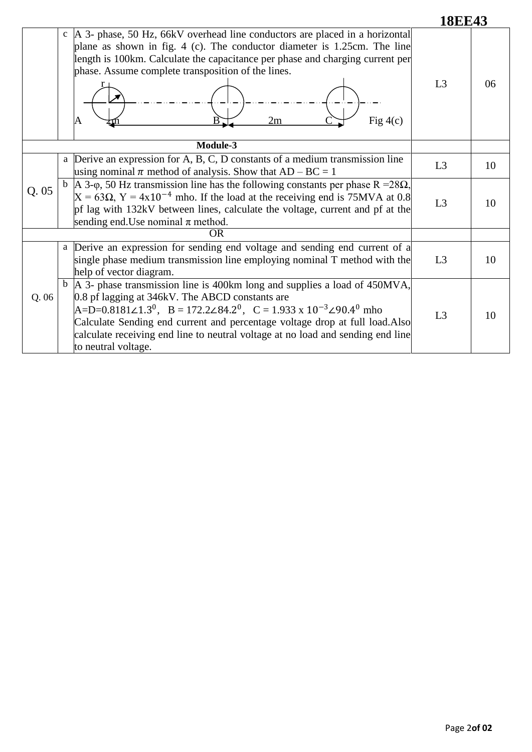| ' '<br>2<br>$\blacksquare$ | EJ | п.<br>н<br>- עו |  |
|----------------------------|----|-----------------|--|
|                            |    |                 |  |

|           | c  A 3- phase, 50 Hz, 66kV overhead line conductors are placed in a horizontal<br>plane as shown in fig. 4 (c). The conductor diameter is 1.25cm. The line<br>length is 100km. Calculate the capacitance per phase and charging current per<br>phase. Assume complete transposition of the lines.<br>2m<br>Fig $4(c)$<br>A                                                                                                                          | L <sub>3</sub> | 06 |
|-----------|-----------------------------------------------------------------------------------------------------------------------------------------------------------------------------------------------------------------------------------------------------------------------------------------------------------------------------------------------------------------------------------------------------------------------------------------------------|----------------|----|
|           |                                                                                                                                                                                                                                                                                                                                                                                                                                                     |                |    |
| Q.05      | a Derive an expression for A, B, C, D constants of a medium transmission line<br>using nominal $\pi$ method of analysis. Show that AD – BC = 1                                                                                                                                                                                                                                                                                                      | L <sub>3</sub> | 10 |
|           | b  A 3- $\varphi$ , 50 Hz transmission line has the following constants per phase R = 28 $\Omega$ ,<br>$X = 63\Omega$ , $Y = 4x10^{-4}$ mho. If the load at the receiving end is 75MVA at 0.8<br>pf lag with 132kV between lines, calculate the voltage, current and pf at the<br>sending end. Use nominal $\pi$ method.                                                                                                                            | L <sub>3</sub> | 10 |
| <b>OR</b> |                                                                                                                                                                                                                                                                                                                                                                                                                                                     |                |    |
| Q.06      | a Derive an expression for sending end voltage and sending end current of a<br>single phase medium transmission line employing nominal T method with the<br>help of vector diagram.                                                                                                                                                                                                                                                                 | L <sub>3</sub> | 10 |
|           | $\mathbf b$  A 3- phase transmission line is 400km long and supplies a load of 450MVA,<br>0.8 pf lagging at 346kV. The ABCD constants are<br>$A=D=0.8181\angle 1.3^{0}$ , B = 172.2 $\angle 84.2^{0}$ , C = 1.933 x 10 <sup>-3</sup> $\angle 90.4^{0}$ mho<br>Calculate Sending end current and percentage voltage drop at full load.Also<br>calculate receiving end line to neutral voltage at no load and sending end line<br>to neutral voltage. | L3             | 10 |